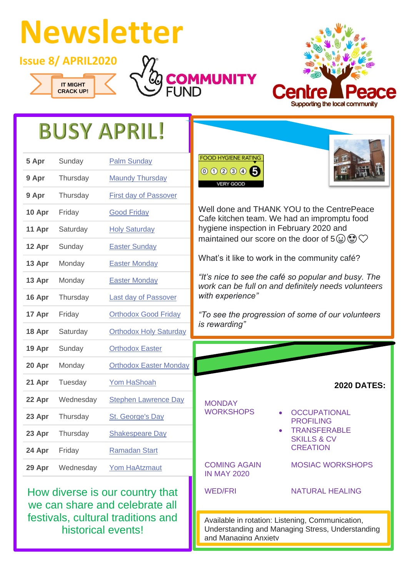## **Newsletter**

**Issue 8/ APRIL2020**







## **BUSY APRIL!**

| 5 Apr  | Sunday    | <b>Palm Sunday</b>            |
|--------|-----------|-------------------------------|
| 9 Apr  | Thursday  | <b>Maundy Thursday</b>        |
| 9 Apr  | Thursday  | <b>First day of Passover</b>  |
| 10 Apr | Friday    | <b>Good Friday</b>            |
| 11 Apr | Saturday  | <b>Holy Saturday</b>          |
| 12 Apr | Sunday    | <b>Easter Sunday</b>          |
| 13 Apr | Monday    | <b>Easter Monday</b>          |
| 13 Apr | Monday    | <b>Easter Monday</b>          |
| 16 Apr | Thursday  | <b>Last day of Passover</b>   |
| 17 Apr | Friday    | <b>Orthodox Good Friday</b>   |
| 18 Apr | Saturday  | <b>Orthodox Holy Saturday</b> |
| 19 Apr | Sunday    | <b>Orthodox Easter</b>        |
| 20 Apr | Monday    | <b>Orthodox Easter Monday</b> |
| 21 Apr | Tuesday   | <b>Yom HaShoah</b>            |
| 22 Apr | Wednesday | <b>Stephen Lawrence Day</b>   |
| 23 Apr | Thursday  | <b>St. George's Day</b>       |
| 23 Apr | Thursday  | <b>Shakespeare Day</b>        |
| 24 Apr | Friday    | <b>Ramadan Start</b>          |
| 29 Apr | Wednesday | <b>Yom HaAtzmaut</b>          |

How diverse is our country that we can share and celebrate all festivals, cultural traditions and historical events!



Well done and THANK YOU to the CentrePeace Cafe kitchen team. We had an impromptu food hygiene inspection in February 2020 and maintained our score on the door of  $5\textcircled{4}\bigcirc$ 

What's it like to work in the community café?

*"It's nice to see the café so popular and busy. The work can be full on and definitely needs volunteers with experience"*

*"To see the progression of some of our volunteers is rewarding"*

|                                                                                                      | <b>2020 DATES:</b>                                                                                          |  |
|------------------------------------------------------------------------------------------------------|-------------------------------------------------------------------------------------------------------------|--|
| <b>MONDAY</b><br><b>WORKSHOPS</b>                                                                    | <b>OCCUPATIONAL</b><br><b>PROFILING</b><br><b>TRANSFERABLE</b><br><b>SKILLS &amp; CV</b><br><b>CREATION</b> |  |
| <b>COMING AGAIN</b><br><b>IN MAY 2020</b>                                                            | <b>MOSIAC WORKSHOPS</b>                                                                                     |  |
| <b>WED/FRI</b>                                                                                       | NATURAL HEALING                                                                                             |  |
| Available in rotation: Listening, Communication,<br>Understanding and Managing Stress, Understanding |                                                                                                             |  |

Understanding and Managing Stress, Understanding and Managing Anxiety